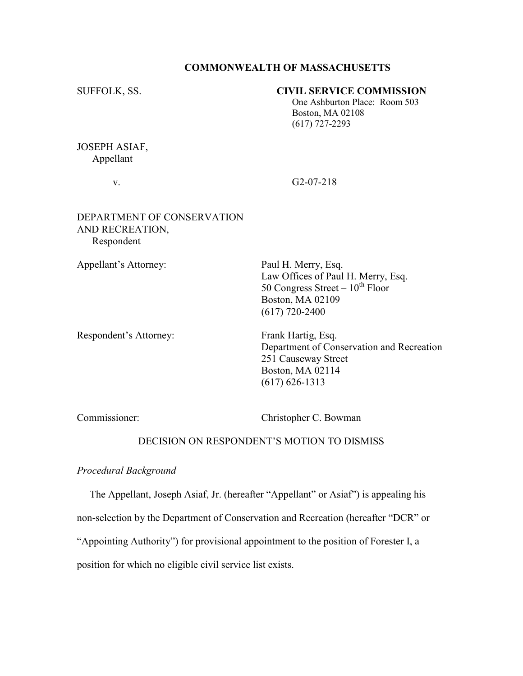### COMMONWEALTH OF MASSACHUSETTS

# SUFFOLK, SS. CIVIL SERVICE COMMISSION

 One Ashburton Place: Room 503 Boston, MA 02108 (617) 727-2293

JOSEPH ASIAF, Appellant

v. G2-07-218

# DEPARTMENT OF CONSERVATION AND RECREATION, Respondent

Appellant's Attorney: Paul H. Merry, Esq.

 Law Offices of Paul H. Merry, Esq. 50 Congress Street –  $10^{th}$  Floor Boston, MA 02109 (617) 720-2400

Respondent's Attorney: Frank Hartig, Esq.

 Department of Conservation and Recreation 251 Causeway Street Boston, MA 02114 (617) 626-1313

Commissioner: Christopher C. Bowman

## DECISION ON RESPONDENT'S MOTION TO DISMISS

Procedural Background

The Appellant, Joseph Asiaf, Jr. (hereafter "Appellant" or Asiaf") is appealing his

non-selection by the Department of Conservation and Recreation (hereafter "DCR" or

"Appointing Authority") for provisional appointment to the position of Forester I, a

position for which no eligible civil service list exists.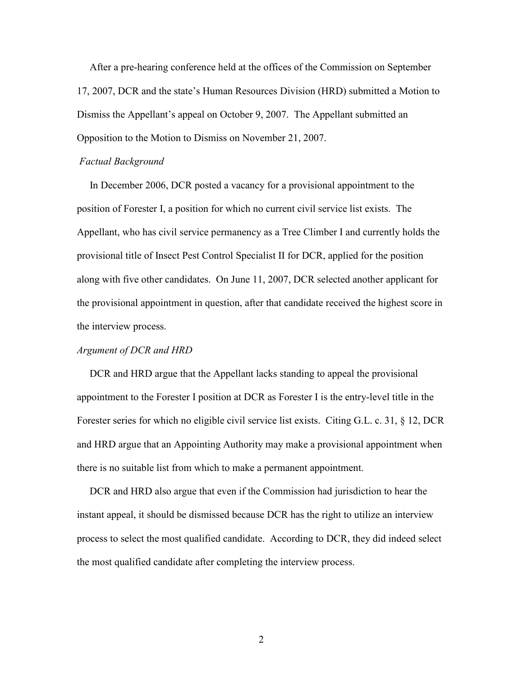After a pre-hearing conference held at the offices of the Commission on September 17, 2007, DCR and the state's Human Resources Division (HRD) submitted a Motion to Dismiss the Appellant's appeal on October 9, 2007. The Appellant submitted an Opposition to the Motion to Dismiss on November 21, 2007.

#### Factual Background

 In December 2006, DCR posted a vacancy for a provisional appointment to the position of Forester I, a position for which no current civil service list exists. The Appellant, who has civil service permanency as a Tree Climber I and currently holds the provisional title of Insect Pest Control Specialist II for DCR, applied for the position along with five other candidates. On June 11, 2007, DCR selected another applicant for the provisional appointment in question, after that candidate received the highest score in the interview process.

#### Argument of DCR and HRD

 DCR and HRD argue that the Appellant lacks standing to appeal the provisional appointment to the Forester I position at DCR as Forester I is the entry-level title in the Forester series for which no eligible civil service list exists. Citing G.L. c. 31, § 12, DCR and HRD argue that an Appointing Authority may make a provisional appointment when there is no suitable list from which to make a permanent appointment.

 DCR and HRD also argue that even if the Commission had jurisdiction to hear the instant appeal, it should be dismissed because DCR has the right to utilize an interview process to select the most qualified candidate. According to DCR, they did indeed select the most qualified candidate after completing the interview process.

2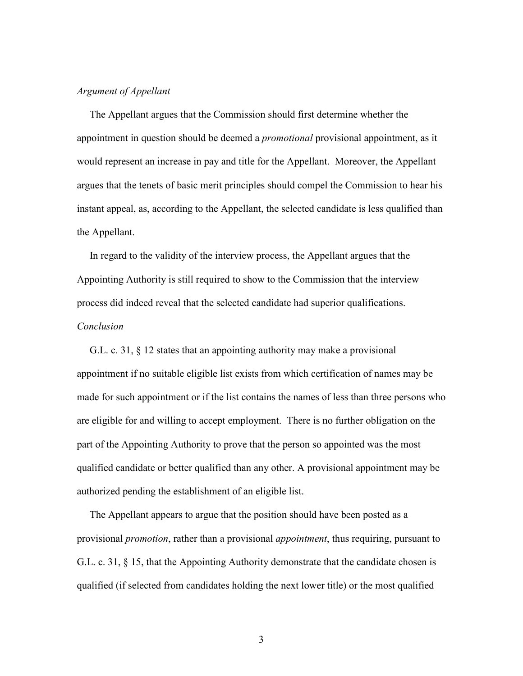### Argument of Appellant

 The Appellant argues that the Commission should first determine whether the appointment in question should be deemed a *promotional* provisional appointment, as it would represent an increase in pay and title for the Appellant. Moreover, the Appellant argues that the tenets of basic merit principles should compel the Commission to hear his instant appeal, as, according to the Appellant, the selected candidate is less qualified than the Appellant.

 In regard to the validity of the interview process, the Appellant argues that the Appointing Authority is still required to show to the Commission that the interview process did indeed reveal that the selected candidate had superior qualifications. Conclusion

 G.L. c. 31, § 12 states that an appointing authority may make a provisional appointment if no suitable eligible list exists from which certification of names may be made for such appointment or if the list contains the names of less than three persons who are eligible for and willing to accept employment. There is no further obligation on the part of the Appointing Authority to prove that the person so appointed was the most qualified candidate or better qualified than any other. A provisional appointment may be authorized pending the establishment of an eligible list.

 The Appellant appears to argue that the position should have been posted as a provisional *promotion*, rather than a provisional *appointment*, thus requiring, pursuant to G.L. c. 31, § 15, that the Appointing Authority demonstrate that the candidate chosen is qualified (if selected from candidates holding the next lower title) or the most qualified

3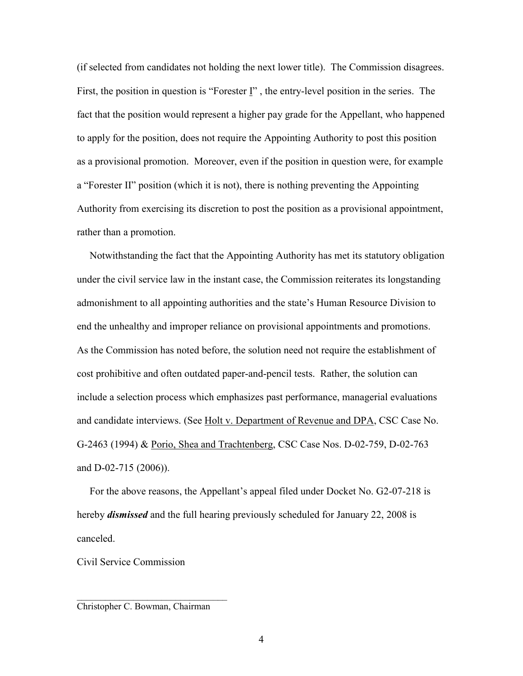(if selected from candidates not holding the next lower title). The Commission disagrees. First, the position in question is "Forester I" , the entry-level position in the series. The fact that the position would represent a higher pay grade for the Appellant, who happened to apply for the position, does not require the Appointing Authority to post this position as a provisional promotion. Moreover, even if the position in question were, for example a "Forester II" position (which it is not), there is nothing preventing the Appointing Authority from exercising its discretion to post the position as a provisional appointment, rather than a promotion.

 Notwithstanding the fact that the Appointing Authority has met its statutory obligation under the civil service law in the instant case, the Commission reiterates its longstanding admonishment to all appointing authorities and the state's Human Resource Division to end the unhealthy and improper reliance on provisional appointments and promotions. As the Commission has noted before, the solution need not require the establishment of cost prohibitive and often outdated paper-and-pencil tests. Rather, the solution can include a selection process which emphasizes past performance, managerial evaluations and candidate interviews. (See Holt v. Department of Revenue and DPA, CSC Case No. G-2463 (1994) & Porio, Shea and Trachtenberg, CSC Case Nos. D-02-759, D-02-763 and D-02-715 (2006)).

 For the above reasons, the Appellant's appeal filed under Docket No. G2-07-218 is hereby *dismissed* and the full hearing previously scheduled for January 22, 2008 is canceled.

Civil Service Commission

Christopher C. Bowman, Chairman

\_\_\_\_\_\_\_\_\_\_\_\_\_\_\_\_\_\_\_\_\_\_\_\_\_\_\_\_\_\_\_\_